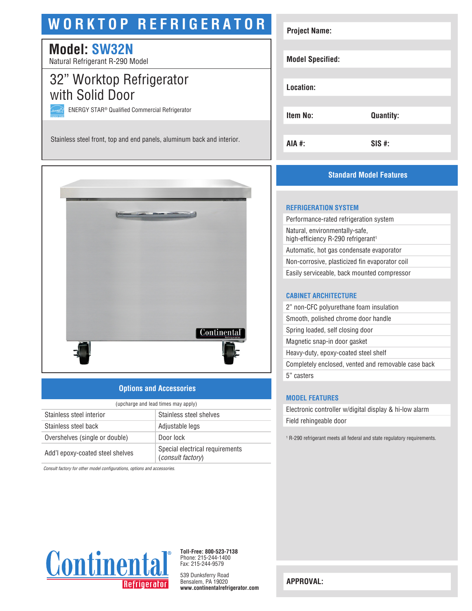# **WORKTOP REFRIGERATOR**

# **Model: SW32N**

Natural Refrigerant R-290 Model

# 32" Worktop Refrigerator with Solid Door

ENERGY STAR® Qualified Commercial Refrigerator

Stainless steel front, top and end panels, aluminum back and interior.



### **Options and Accessories**

| (upcharge and lead times may apply) |                                                             |  |
|-------------------------------------|-------------------------------------------------------------|--|
| Stainless steel interior            | Stainless steel shelves                                     |  |
| Stainless steel back                | Adjustable legs                                             |  |
| Overshelves (single or double)      | Door lock                                                   |  |
| Add'l epoxy-coated steel shelves    | Special electrical requirements<br><i>(consult factory)</i> |  |

*Consult factory for other model configurations, options and accessories.*



**Toll-Free: 800-523-7138** Phone: 215-244-1400 Fax: 215-244-9579

539 Dunksferry Road Bensalem, PA 19020 **www.continentalrefrigerator.com** 

| <b>Project Name:</b>    |                  |
|-------------------------|------------------|
|                         |                  |
| <b>Model Specified:</b> |                  |
|                         |                  |
| Location:               |                  |
|                         |                  |
| <b>Item No:</b>         |                  |
|                         | <b>Quantity:</b> |
|                         |                  |
| <b>AIA #:</b>           | $SIS$ #:         |

### **Standard Model Features**

#### **REFRIGERATION SYSTEM**

Performance-rated refrigeration system Natural, environmentally-safe, high-efficiency R-290 refrigerant<sup>1</sup> Automatic, hot gas condensate evaporator Non-corrosive, plasticized fin evaporator coil Easily serviceable, back mounted compressor

#### **CABINET ARCHITECTURE**

2" non-CFC polyurethane foam insulation Smooth, polished chrome door handle Spring loaded, self closing door Magnetic snap-in door gasket Heavy-duty, epoxy-coated steel shelf Completely enclosed, vented and removable case back 5" casters

#### **MODEL FEATURES**

Electronic controller w/digital display & hi-low alarm Field rehingeable door

1 R-290 refrigerant meets all federal and state regulatory requirements.

**APPROVAL:**